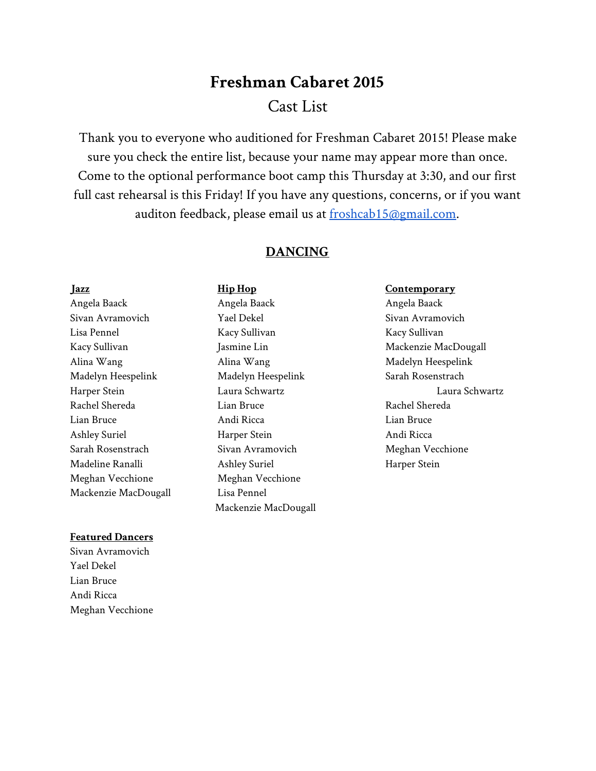# **Freshman Cabaret 2015** Cast List

Thank you to everyone who auditioned for Freshman Cabaret 2015! Please make sure you check the entire list, because your name may appear more than once. Come to the optional performance boot camp this Thursday at 3:30, and our first full cast rehearsal is this Friday! If you have any questions, concerns, or if you want auditon feedback, please email us at [froshcab15@gmail.com.](mailto:froshcab15@gmail.com)

# **DANCING**

Meghan Vecchione Meghan Vecchione Mackenzie MacDougall Lisa Pennel

# **Featured Dancers**

Sivan Avramovich Yael Dekel Lian Bruce Andi Ricca Meghan Vecchione

**Jazz Hip Hop Contemporary** Angela Baack Angela Baack Angela Baack Sivan Avramovich Tael Dekel Sivan Avramovich Sivan Avramovich Lisa Pennel Kacy Sullivan Kacy Sullivan Kacy Sullivan Jasmine Lin Mackenzie MacDougall Alina Wang Alina Wang Madelyn Heespelink Madelyn Heespelink Madelyn Heespelink Sarah Rosenstrach Rachel Shereda Lian Bruce Rachel Shereda Lian Bruce Andi Ricca Lian Bruce Ashley Suriel **Harper Stein** Harper Stein Andi Ricca Sarah Rosenstrach Sivan Avramovich Meghan Vecchione Madeline Ranalli Ashley Suriel Harper Stein Mackenzie MacDougall

Harper Stein Laura Schwartz Laura Schwartz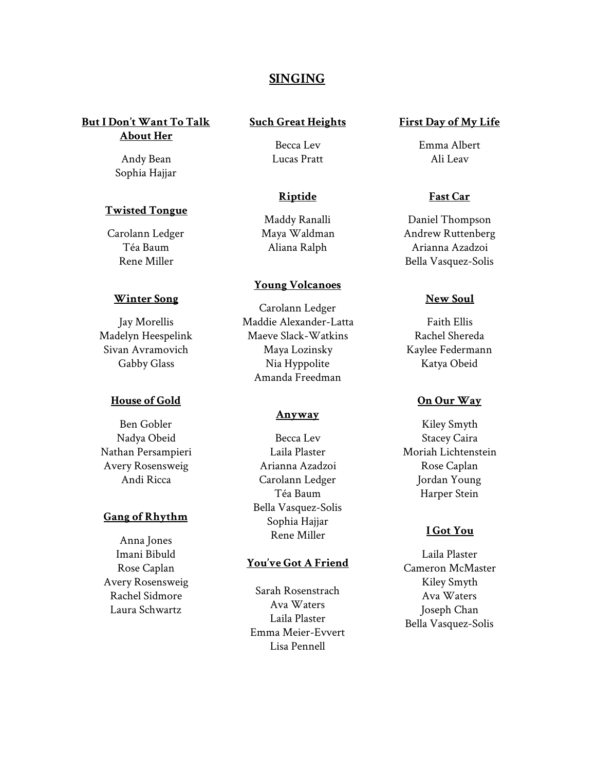# **SINGING**

**But I Don't Want To Talk About Her**

> Andy Bean Sophia Hajjar

# **Twisted Tongue**

Carolann Ledger Téa Baum Rene Miller

#### **Winter Song**

Jay Morellis Madelyn Heespelink Sivan Avramovich Gabby Glass

# **House of Gold**

Ben Gobler Nadya Obeid Nathan Persampieri Avery Rosensweig Andi Ricca

# **Gang of Rhythm**

Anna Jones Imani Bibuld Rose Caplan Avery Rosensweig Rachel Sidmore Laura Schwartz

# **Such Great Heights**

Becca Lev Lucas Pratt

# **Riptide**

Maddy Ranalli Maya Waldman Aliana Ralph

# **Young Volcanoes**

Carolann Ledger Maddie Alexander-Latta Maeve Slack-Watkins Maya Lozinsky Nia Hyppolite Amanda Freedman

#### **Anyway**

Becca Lev Laila Plaster Arianna Azadzoi Carolann Ledger Téa Baum Bella Vasquez-Solis Sophia Hajjar Rene Miller

# **You've Got A Friend**

Sarah Rosenstrach Ava Waters Laila Plaster Emma Meier-Evvert Lisa Pennell

# **First Day of My Life**

Emma Albert Ali Leav

# **Fast Car**

Daniel Thompson Andrew Ruttenberg Arianna Azadzoi Bella Vasquez-Solis

#### **New Soul**

Faith Ellis Rachel Shereda Kaylee Federmann Katya Obeid

# **On Our Way**

Kiley Smyth Stacey Caira Moriah Lichtenstein Rose Caplan Jordan Young Harper Stein

# **I Got You**

Laila Plaster Cameron McMaster Kiley Smyth Ava Waters Joseph Chan Bella Vasquez-Solis